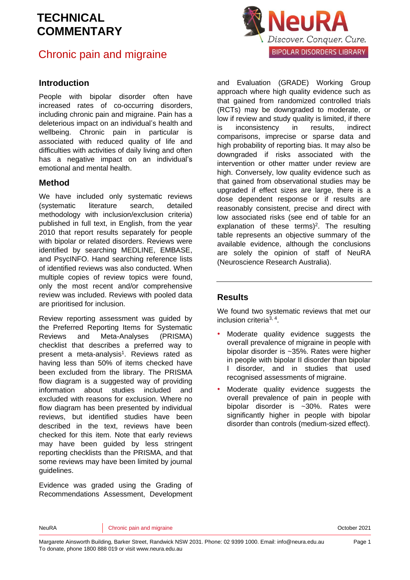## Chronic pain and migraine



#### **Introduction**

People with bipolar disorder often have increased rates of co-occurring disorders, including chronic pain and migraine. Pain has a deleterious impact on an individual's health and wellbeing. Chronic pain in particular is associated with reduced quality of life and difficulties with activities of daily living and often has a negative impact on an individual's emotional and mental health.

#### **Method**

We have included only systematic reviews (systematic literature search, detailed methodology with inclusion/exclusion criteria) published in full text, in English, from the year 2010 that report results separately for people with bipolar or related disorders. Reviews were identified by searching MEDLINE, EMBASE, and PsycINFO. Hand searching reference lists of identified reviews was also conducted. When multiple copies of review topics were found, only the most recent and/or comprehensive review was included. Reviews with pooled data are prioritised for inclusion.

Review reporting assessment was guided by the Preferred Reporting Items for Systematic Reviews and Meta-Analyses (PRISMA) checklist that describes a preferred way to pre[s](#page-5-0)ent a meta-analysis<sup>1</sup>. Reviews rated as having less than 50% of items checked have been excluded from the library. The PRISMA flow diagram is a suggested way of providing information about studies included and excluded with reasons for exclusion. Where no flow diagram has been presented by individual reviews, but identified studies have been described in the text, reviews have been checked for this item. Note that early reviews may have been guided by less stringent reporting checklists than the PRISMA, and that some reviews may have been limited by journal guidelines.

Evidence was graded using the Grading of Recommendations Assessment, Development and Evaluation [\(GRADE\)](http://www.gradeworkinggroup.org/) Working Group approach where high quality evidence such as that gained from randomized controlled trials (RCTs) may be downgraded to moderate, or low if review and study quality is limited, if there is inconsistency in results, indirect comparisons, imprecise or sparse data and high probability of reporting bias. It may also be downgraded if risks associated with the intervention or other matter under review are high. Conversely, low quality evidence such as that gained from observational studies may be upgraded if effect sizes are large, there is a dose dependent response or if results are reasonably consistent, precise and direct with low associated risks (see end of table for an explanation of these terms[\)](#page-5-1)<sup>2</sup>. The resulting table represents an objective summary of the available evidence, although the conclusions are solely the opinion of staff of NeuRA (Neuroscience Research Australia).

#### **Results**

We found two systematic reviews that met our inclusion criteria<sup>[3,](#page-5-2) [4](#page-5-3)</sup>.

- Moderate quality evidence suggests the overall prevalence of migraine in people with bipolar disorder is ~35%. Rates were higher in people with bipolar II disorder than bipolar I disorder, and in studies that used recognised assessments of migraine.
- Moderate quality evidence suggests the overall prevalence of pain in people with bipolar disorder is ~30%. Rates were significantly higher in people with bipolar disorder than controls (medium-sized effect).

NeuRA Chronic pain and migraine Chronic Context of the Chronic pain and migraine Chronic Context of the October 2021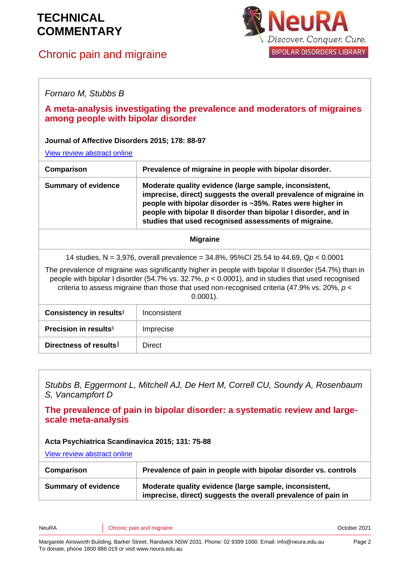## Chronic pain and migraine



#### *Fornaro M, Stubbs B*

#### **A meta-analysis investigating the prevalence and moderators of migraines among people with bipolar disorder**

**Journal of Affective Disorders 2015; 178: 88-97**

[View review abstract online](https://www.ncbi.nlm.nih.gov/pubmed/25801521)

| Comparison                                                                                                                                                                                                                                                                                                                      | Prevalence of migraine in people with bipolar disorder.                                                                                                                                                                                                                                                               |  |
|---------------------------------------------------------------------------------------------------------------------------------------------------------------------------------------------------------------------------------------------------------------------------------------------------------------------------------|-----------------------------------------------------------------------------------------------------------------------------------------------------------------------------------------------------------------------------------------------------------------------------------------------------------------------|--|
| <b>Summary of evidence</b>                                                                                                                                                                                                                                                                                                      | Moderate quality evidence (large sample, inconsistent,<br>imprecise, direct) suggests the overall prevalence of migraine in<br>people with bipolar disorder is ~35%. Rates were higher in<br>people with bipolar II disorder than bipolar I disorder, and in<br>studies that used recognised assessments of migraine. |  |
| <b>Migraine</b>                                                                                                                                                                                                                                                                                                                 |                                                                                                                                                                                                                                                                                                                       |  |
| 14 studies, N = 3,976, overall prevalence = 34.8%, 95%Cl 25.54 to 44.69, Qp < 0.0001                                                                                                                                                                                                                                            |                                                                                                                                                                                                                                                                                                                       |  |
| The prevalence of migraine was significantly higher in people with bipolar II disorder (54.7%) than in<br>people with bipolar I disorder (54.7% vs. 32.7%, $p < 0.0001$ ), and in studies that used recognised<br>criteria to assess migraine than those that used non-recognised criteria (47.9% vs. 20%, $p <$<br>$0.0001$ ). |                                                                                                                                                                                                                                                                                                                       |  |
| Consistency in results <sup>‡</sup>                                                                                                                                                                                                                                                                                             | Inconsistent                                                                                                                                                                                                                                                                                                          |  |
| <b>Precision in results</b> <sup>§</sup>                                                                                                                                                                                                                                                                                        | Imprecise                                                                                                                                                                                                                                                                                                             |  |

| Directness of results | Direct |
|-----------------------|--------|
|                       |        |

*Stubbs B, Eggermont L, Mitchell AJ, De Hert M, Correll CU, Soundy A, Rosenbaum S, Vancampfort D*

**The prevalence of pain in bipolar disorder: a systematic review and largescale meta-analysis** 

#### **Acta Psychiatrica Scandinavica 2015; 131: 75-88**

[View review abstract online](https://www.ncbi.nlm.nih.gov/pubmed/25098864)

| Comparison                 | Prevalence of pain in people with bipolar disorder vs. controls                                                         |
|----------------------------|-------------------------------------------------------------------------------------------------------------------------|
| <b>Summary of evidence</b> | Moderate quality evidence (large sample, inconsistent,<br>imprecise, direct) suggests the overall prevalence of pain in |

NeuRA Chronic pain and migraine Chronic pain and migraine Chronic Australian Chronic Australian Chronic Australian Chronic Australian Chronic Australian Chronic Australian Chronic Australian Chronic Australian Chronic Aust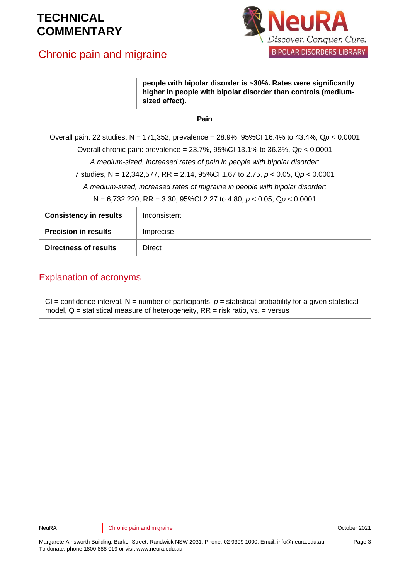# Chronic pain and migraine



|                                                                                              | people with bipolar disorder is ~30%. Rates were significantly<br>higher in people with bipolar disorder than controls (medium-<br>sized effect). |  |
|----------------------------------------------------------------------------------------------|---------------------------------------------------------------------------------------------------------------------------------------------------|--|
| Pain                                                                                         |                                                                                                                                                   |  |
| Overall pain: 22 studies, N = 171,352, prevalence = 28.9%, 95%CI 16.4% to 43.4%, Qp < 0.0001 |                                                                                                                                                   |  |
| Overall chronic pain: prevalence = $23.7\%$ , 95%Cl 13.1% to 36.3%, Qp < 0.0001              |                                                                                                                                                   |  |
| A medium-sized, increased rates of pain in people with bipolar disorder;                     |                                                                                                                                                   |  |
| 7 studies, N = 12,342,577, RR = 2.14, 95%Cl 1.67 to 2.75, $p < 0.05$ , Qp < 0.0001           |                                                                                                                                                   |  |
| A medium-sized, increased rates of migraine in people with bipolar disorder;                 |                                                                                                                                                   |  |
| N = 6,732,220, RR = 3.30, 95%Cl 2.27 to 4.80, $p < 0.05$ , Qp < 0.0001                       |                                                                                                                                                   |  |
| <b>Consistency in results</b>                                                                | Inconsistent                                                                                                                                      |  |
| <b>Precision in results</b>                                                                  | Imprecise                                                                                                                                         |  |
| Directness of results                                                                        | <b>Direct</b>                                                                                                                                     |  |

### Explanation of acronyms

 $CI =$  confidence interval,  $N =$  number of participants,  $p =$  statistical probability for a given statistical model,  $Q =$  statistical measure of heterogeneity,  $RR =$  risk ratio,  $vs. =$  versus

NeuRA Chronic pain and migraine Chronic pain and migraine Chronic Australian Chronic Australian Chronic Australian Chronic Australian Chronic Australian Chronic Australian Chronic Australian Chronic Australian Chronic Aust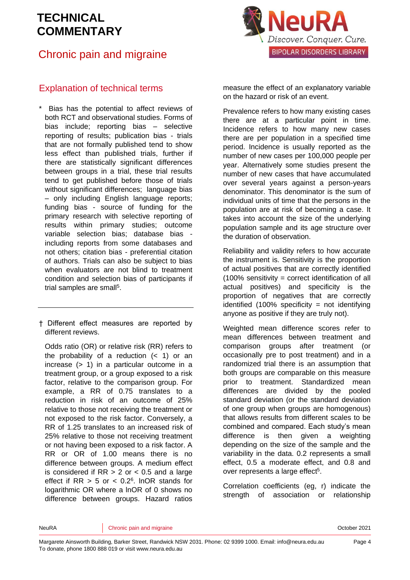## Chronic pain and migraine



### Explanation of technical terms

Bias has the potential to affect reviews of both RCT and observational studies. Forms of bias include; reporting bias – selective reporting of results; publication bias - trials that are not formally published tend to show less effect than published trials, further if there are statistically significant differences between groups in a trial, these trial results tend to get published before those of trials without significant differences: language bias – only including English language reports; funding bias - source of funding for the primary research with selective reporting of results within primary studies; outcome variable selection bias; database bias including reports from some databases and not others; citation bias - preferential citation of authors. Trials can also be subject to bias when evaluators are not blind to treatment condition and selection bias of participants if trial samples are sma[ll](#page-5-4)<sup>5</sup>.

† Different effect measures are reported by different reviews.

Odds ratio (OR) or relative risk (RR) refers to the probability of a reduction  $( $1$ )$  or an increase  $(> 1)$  in a particular outcome in a treatment group, or a group exposed to a risk factor, relative to the comparison group. For example, a RR of 0.75 translates to a reduction in risk of an outcome of 25% relative to those not receiving the treatment or not exposed to the risk factor. Conversely, a RR of 1.25 translates to an increased risk of 25% relative to those not receiving treatment or not having been exposed to a risk factor. A RR or OR of 1.00 means there is no difference between groups. A medium effect is considered if  $RR > 2$  or  $< 0.5$  and a large effect if  $RR > 5$  or  $< 0.2<sup>6</sup>$  $< 0.2<sup>6</sup>$  $< 0.2<sup>6</sup>$ . InOR stands for logarithmic OR where a lnOR of 0 shows no difference between groups. Hazard ratios

measure the effect of an explanatory variable on the hazard or risk of an event.

Prevalence refers to how many existing cases there are at a particular point in time. Incidence refers to how many new cases there are per population in a specified time period. Incidence is usually reported as the number of new cases per 100,000 people per year. Alternatively some studies present the number of new cases that have accumulated over several years against a person-years denominator. This denominator is the sum of individual units of time that the persons in the population are at risk of becoming a case. It takes into account the size of the underlying population sample and its age structure over the duration of observation.

Reliability and validity refers to how accurate the instrument is. Sensitivity is the proportion of actual positives that are correctly identified  $(100\%$  sensitivity = correct identification of all actual positives) and specificity is the proportion of negatives that are correctly identified (100% specificity = not identifying anyone as positive if they are truly not).

Weighted mean difference scores refer to mean differences between treatment and comparison groups after treatment (or occasionally pre to post treatment) and in a randomized trial there is an assumption that both groups are comparable on this measure prior to treatment. Standardized mean differences are divided by the pooled standard deviation (or the standard deviation of one group when groups are homogenous) that allows results from different scales to be combined and compared. Each study's mean difference is then given a weighting depending on the size of the sample and the variability in the data. 0.2 represents a small effect, 0.5 a moderate effect, and 0.8 and over represen[t](#page-5-4)s a large effect<sup>5</sup>.

Correlation coefficients (eg, r) indicate the strength of association or relationship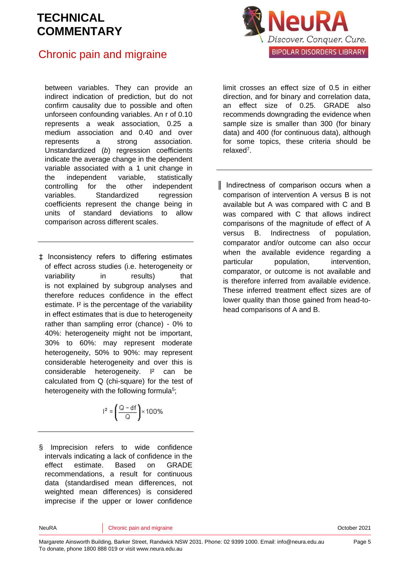### Chronic pain and migraine

**JeuRA** Discover. Conquer. Cure. BIPOLAR DISORDERS LIBRARY

between variables. They can provide an indirect indication of prediction, but do not confirm causality due to possible and often unforseen confounding variables. An r of 0.10 represents a weak association, 0.25 a medium association and 0.40 and over represents a strong association. Unstandardized (*b*) regression coefficients indicate the average change in the dependent variable associated with a 1 unit change in the independent variable, statistically controlling for the other independent variables. Standardized regression coefficients represent the change being in units of standard deviations to allow comparison across different scales.

‡ Inconsistency refers to differing estimates of effect across studies (i.e. heterogeneity or variability in results) that is not explained by subgroup analyses and therefore reduces confidence in the effect estimate. I<sup>2</sup> is the percentage of the variability in effect estimates that is due to heterogeneity rather than sampling error (chance) - 0% to 40%: heterogeneity might not be important, 30% to 60%: may represent moderate heterogeneity, 50% to 90%: may represent considerable heterogeneity and over this is considerable heterogeneity. I² can be calculated from Q (chi-square) for the test of heterogeneity with the following formul[a](#page-5-4)<sup>5</sup>;

$$
I^2 = \left(\frac{Q - df}{Q}\right) \times 100\%
$$

§ Imprecision refers to wide confidence intervals indicating a lack of confidence in the effect estimate. Based on GRADE recommendations, a result for continuous data (standardised mean differences, not weighted mean differences) is considered imprecise if the upper or lower confidence

limit crosses an effect size of 0.5 in either direction, and for binary and correlation data, an effect size of 0.25. GRADE also recommends downgrading the evidence when sample size is smaller than 300 (for binary data) and 400 (for continuous data), although for some topics, these criteria should be relaxe[d](#page-5-6)<sup>7</sup> .

║ Indirectness of comparison occurs when a comparison of intervention A versus B is not available but A was compared with C and B was compared with C that allows indirect comparisons of the magnitude of effect of A versus B. Indirectness of population, comparator and/or outcome can also occur when the available evidence regarding a particular population, intervention, comparator, or outcome is not available and is therefore inferred from available evidence. These inferred treatment effect sizes are of lower quality than those gained from head-tohead comparisons of A and B.

NeuRA Chronic pain and migraine Chronic pain and migraine Chronic pain and migraine Chronic pain and migraine C